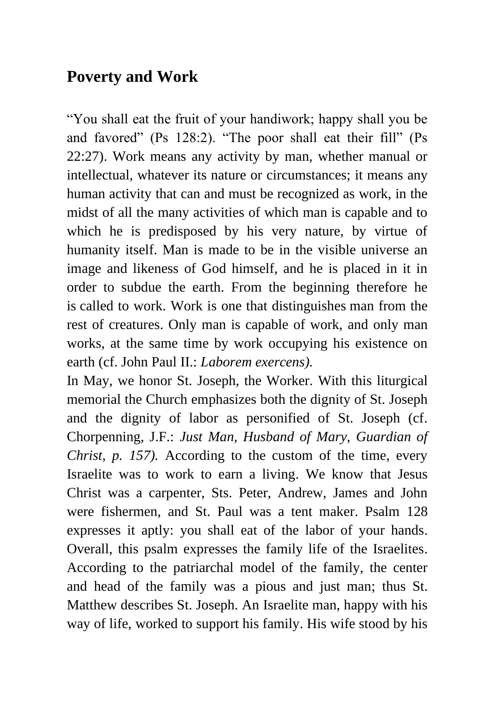## **Poverty and Work**

"You shall eat the fruit of your handiwork; happy shall you be and favored" (Ps 128:2). "The poor shall eat their fill" (Ps 22:27). Work means any activity by man, whether manual or intellectual, whatever its nature or circumstances; it means any human activity that can and must be recognized as work, in the midst of all the many activities of which man is capable and to which he is predisposed by his very nature, by virtue of humanity itself. Man is made to be in the visible universe an image and likeness of God himself, and he is placed in it in order to subdue the earth. From the beginning therefore he is called to work. Work is one that distinguishes man from the rest of creatures. Only man is capable of work, and only man works, at the same time by work occupying his existence on earth (cf. John Paul II.: *Laborem exercens).*

In May, we honor St. Joseph, the Worker. With this liturgical memorial the Church emphasizes both the dignity of St. Joseph and the dignity of labor as personified of St. Joseph (cf. Chorpenning, J.F.: *Just Man, Husband of Mary, Guardian of Christ, p. 157).* According to the custom of the time, every Israelite was to work to earn a living. We know that Jesus Christ was a carpenter, Sts. Peter, Andrew, James and John were fishermen, and St. Paul was a tent maker. Psalm 128 expresses it aptly: you shall eat of the labor of your hands. Overall, this psalm expresses the family life of the Israelites. According to the patriarchal model of the family, the center and head of the family was a pious and just man; thus St. Matthew describes St. Joseph. An Israelite man, happy with his way of life, worked to support his family. His wife stood by his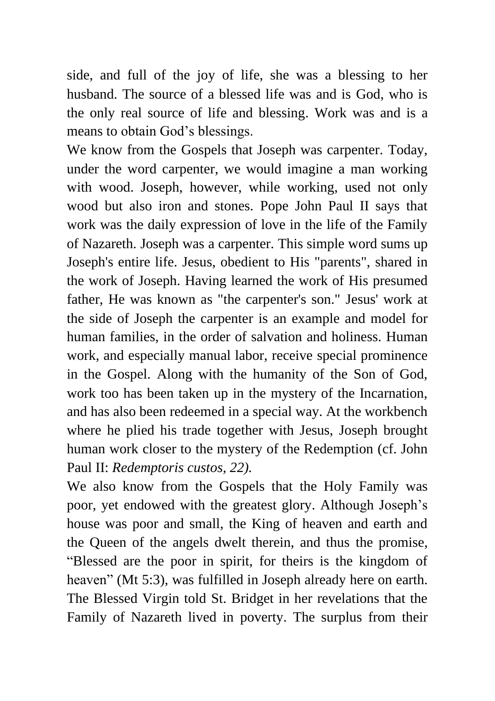side, and full of the joy of life, she was a blessing to her husband. The source of a blessed life was and is God, who is the only real source of life and blessing. Work was and is a means to obtain God's blessings.

We know from the Gospels that Joseph was carpenter. Today, under the word carpenter, we would imagine a man working with wood. Joseph, however, while working, used not only wood but also iron and stones. Pope John Paul II says that work was the daily expression of love in the life of the Family of Nazareth. Joseph was a carpenter. This simple word sums up Joseph's entire life. Jesus, obedient to His "parents", shared in the work of Joseph. Having learned the work of His presumed father, He was known as "the carpenter's son." Jesus' work at the side of Joseph the carpenter is an example and model for human families, in the order of salvation and holiness. Human work, and especially manual labor, receive special prominence in the Gospel. Along with the humanity of the Son of God, work too has been taken up in the mystery of the Incarnation, and has also been redeemed in a special way. At the workbench where he plied his trade together with Jesus, Joseph brought human work closer to the mystery of the Redemption (cf. John Paul II: *Redemptoris custos, 22).*

We also know from the Gospels that the Holy Family was poor, yet endowed with the greatest glory. Although Joseph's house was poor and small, the King of heaven and earth and the Queen of the angels dwelt therein, and thus the promise, "Blessed are the poor in spirit, for theirs is the kingdom of heaven" (Mt 5:3), was fulfilled in Joseph already here on earth. The Blessed Virgin told St. Bridget in her revelations that the Family of Nazareth lived in poverty. The surplus from their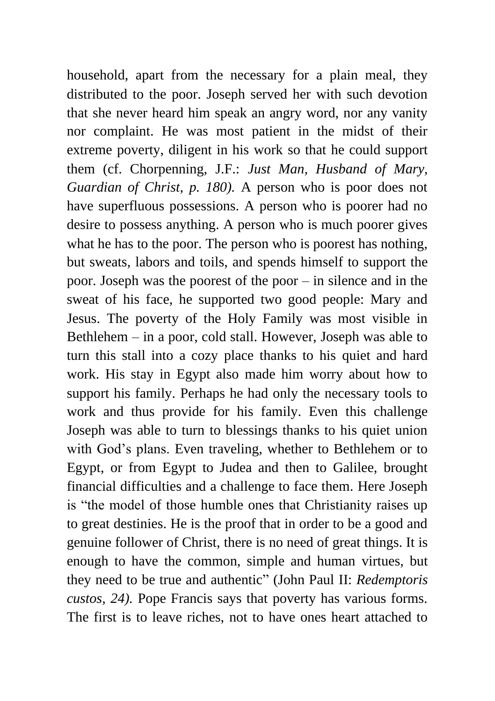household, apart from the necessary for a plain meal, they distributed to the poor. Joseph served her with such devotion that she never heard him speak an angry word, nor any vanity nor complaint. He was most patient in the midst of their extreme poverty, diligent in his work so that he could support them (cf. Chorpenning, J.F.: *Just Man, Husband of Mary, Guardian of Christ, p. 180).* A person who is poor does not have superfluous possessions. A person who is poorer had no desire to possess anything. A person who is much poorer gives what he has to the poor. The person who is poorest has nothing, but sweats, labors and toils, and spends himself to support the poor. Joseph was the poorest of the poor – in silence and in the sweat of his face, he supported two good people: Mary and Jesus. The poverty of the Holy Family was most visible in Bethlehem – in a poor, cold stall. However, Joseph was able to turn this stall into a cozy place thanks to his quiet and hard work. His stay in Egypt also made him worry about how to support his family. Perhaps he had only the necessary tools to work and thus provide for his family. Even this challenge Joseph was able to turn to blessings thanks to his quiet union with God's plans. Even traveling, whether to Bethlehem or to Egypt, or from Egypt to Judea and then to Galilee, brought financial difficulties and a challenge to face them. Here Joseph is "the model of those humble ones that Christianity raises up to great destinies. He is the proof that in order to be a good and genuine follower of Christ, there is no need of great things. It is enough to have the common, simple and human virtues, but they need to be true and authentic" (John Paul II: *Redemptoris custos, 24).* Pope Francis says that poverty has various forms. The first is to leave riches, not to have ones heart attached to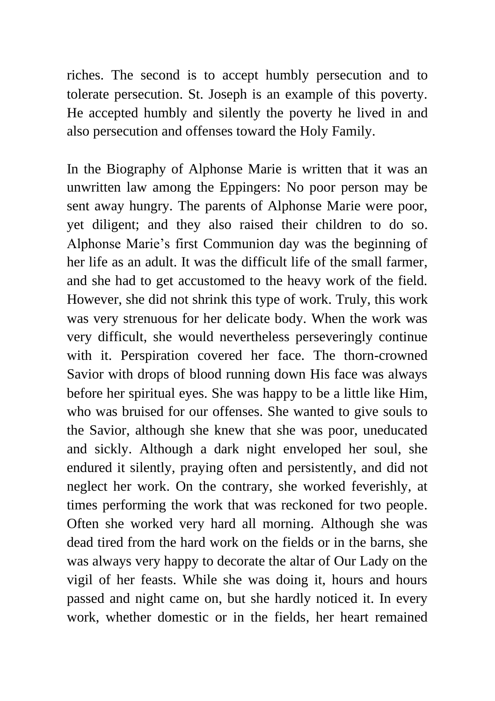riches. The second is to accept humbly persecution and to tolerate persecution. St. Joseph is an example of this poverty. He accepted humbly and silently the poverty he lived in and also persecution and offenses toward the Holy Family.

In the Biography of Alphonse Marie is written that it was an unwritten law among the Eppingers: No poor person may be sent away hungry. The parents of Alphonse Marie were poor, yet diligent; and they also raised their children to do so. Alphonse Marie's first Communion day was the beginning of her life as an adult. It was the difficult life of the small farmer, and she had to get accustomed to the heavy work of the field. However, she did not shrink this type of work. Truly, this work was very strenuous for her delicate body. When the work was very difficult, she would nevertheless perseveringly continue with it. Perspiration covered her face. The thorn-crowned Savior with drops of blood running down His face was always before her spiritual eyes. She was happy to be a little like Him, who was bruised for our offenses. She wanted to give souls to the Savior, although she knew that she was poor, uneducated and sickly. Although a dark night enveloped her soul, she endured it silently, praying often and persistently, and did not neglect her work. On the contrary, she worked feverishly, at times performing the work that was reckoned for two people. Often she worked very hard all morning. Although she was dead tired from the hard work on the fields or in the barns, she was always very happy to decorate the altar of Our Lady on the vigil of her feasts. While she was doing it, hours and hours passed and night came on, but she hardly noticed it. In every work, whether domestic or in the fields, her heart remained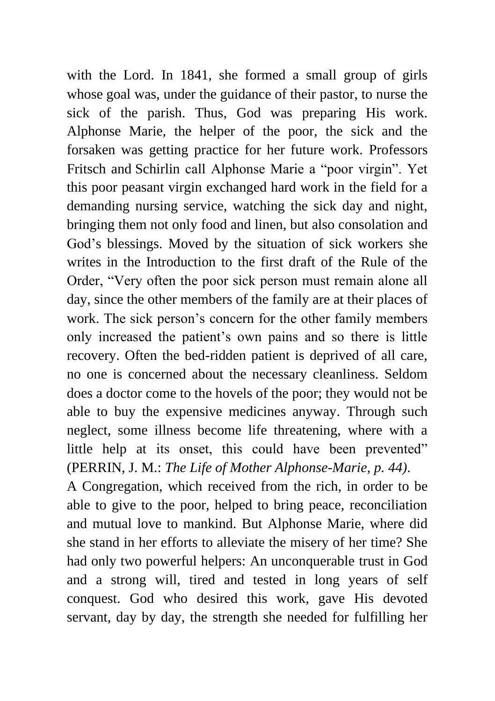with the Lord. In 1841, she formed a small group of girls whose goal was, under the guidance of their pastor, to nurse the sick of the parish. Thus, God was preparing His work. Alphonse Marie, the helper of the poor, the sick and the forsaken was getting practice for her future work. Professors Fritsch and Schirlin call Alphonse Marie a "poor virgin". Yet this poor peasant virgin exchanged hard work in the field for a demanding nursing service, watching the sick day and night, bringing them not only food and linen, but also consolation and God's blessings. Moved by the situation of sick workers she writes in the Introduction to the first draft of the Rule of the Order, "Very often the poor sick person must remain alone all day, since the other members of the family are at their places of work. The sick person's concern for the other family members only increased the patient's own pains and so there is little recovery. Often the bed-ridden patient is deprived of all care, no one is concerned about the necessary cleanliness. Seldom does a doctor come to the hovels of the poor; they would not be able to buy the expensive medicines anyway. Through such neglect, some illness become life threatening, where with a little help at its onset, this could have been prevented" (PERRIN, J. M.: *The Life of Mother Alphonse-Marie, p. 44)*. A Congregation, which received from the rich, in order to be

able to give to the poor, helped to bring peace, reconciliation and mutual love to mankind. But Alphonse Marie, where did she stand in her efforts to alleviate the misery of her time? She had only two powerful helpers: An unconquerable trust in God and a strong will, tired and tested in long years of self conquest. God who desired this work, gave His devoted servant, day by day, the strength she needed for fulfilling her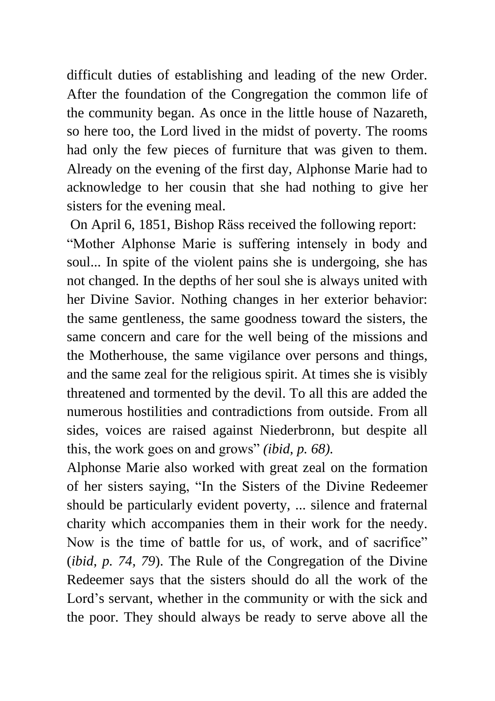difficult duties of establishing and leading of the new Order. After the foundation of the Congregation the common life of the community began. As once in the little house of Nazareth, so here too, the Lord lived in the midst of poverty. The rooms had only the few pieces of furniture that was given to them. Already on the evening of the first day, Alphonse Marie had to acknowledge to her cousin that she had nothing to give her sisters for the evening meal.

On April 6, 1851, Bishop Räss received the following report: "Mother Alphonse Marie is suffering intensely in body and soul... In spite of the violent pains she is undergoing, she has not changed. In the depths of her soul she is always united with her Divine Savior. Nothing changes in her exterior behavior: the same gentleness, the same goodness toward the sisters, the same concern and care for the well being of the missions and the Motherhouse, the same vigilance over persons and things, and the same zeal for the religious spirit. At times she is visibly threatened and tormented by the devil. To all this are added the numerous hostilities and contradictions from outside. From all sides, voices are raised against Niederbronn, but despite all this, the work goes on and grows" *(ibid, p. 68).* 

Alphonse Marie also worked with great zeal on the formation of her sisters saying, "In the Sisters of the Divine Redeemer should be particularly evident poverty, ... silence and fraternal charity which accompanies them in their work for the needy. Now is the time of battle for us, of work, and of sacrifice" (*ibid, p. 74, 79*). The Rule of the Congregation of the Divine Redeemer says that the sisters should do all the work of the Lord's servant, whether in the community or with the sick and the poor. They should always be ready to serve above all the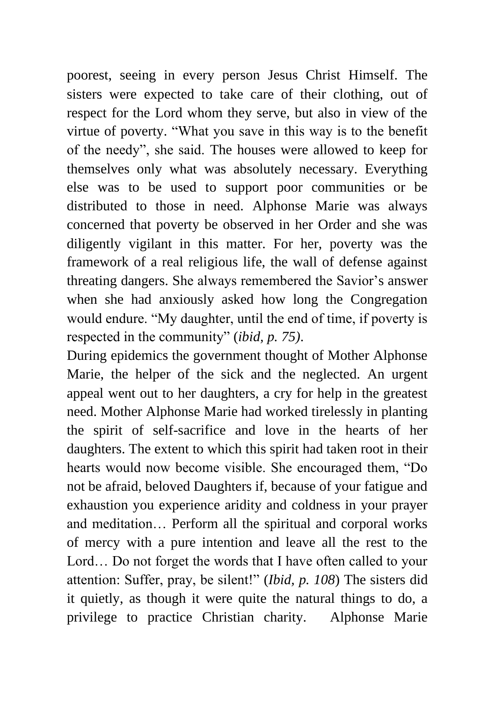poorest, seeing in every person Jesus Christ Himself. The sisters were expected to take care of their clothing, out of respect for the Lord whom they serve, but also in view of the virtue of poverty. "What you save in this way is to the benefit of the needy", she said. The houses were allowed to keep for themselves only what was absolutely necessary. Everything else was to be used to support poor communities or be distributed to those in need. Alphonse Marie was always concerned that poverty be observed in her Order and she was diligently vigilant in this matter. For her, poverty was the framework of a real religious life, the wall of defense against threating dangers. She always remembered the Savior's answer when she had anxiously asked how long the Congregation would endure. "My daughter, until the end of time, if poverty is respected in the community" (*ibid, p. 75)*.

During epidemics the government thought of Mother Alphonse Marie, the helper of the sick and the neglected. An urgent appeal went out to her daughters, a cry for help in the greatest need. Mother Alphonse Marie had worked tirelessly in planting the spirit of self-sacrifice and love in the hearts of her daughters. The extent to which this spirit had taken root in their hearts would now become visible. She encouraged them, "Do not be afraid, beloved Daughters if, because of your fatigue and exhaustion you experience aridity and coldness in your prayer and meditation… Perform all the spiritual and corporal works of mercy with a pure intention and leave all the rest to the Lord… Do not forget the words that I have often called to your attention: Suffer, pray, be silent!" (*Ibid, p. 108*) The sisters did it quietly, as though it were quite the natural things to do, a privilege to practice Christian charity. Alphonse Marie